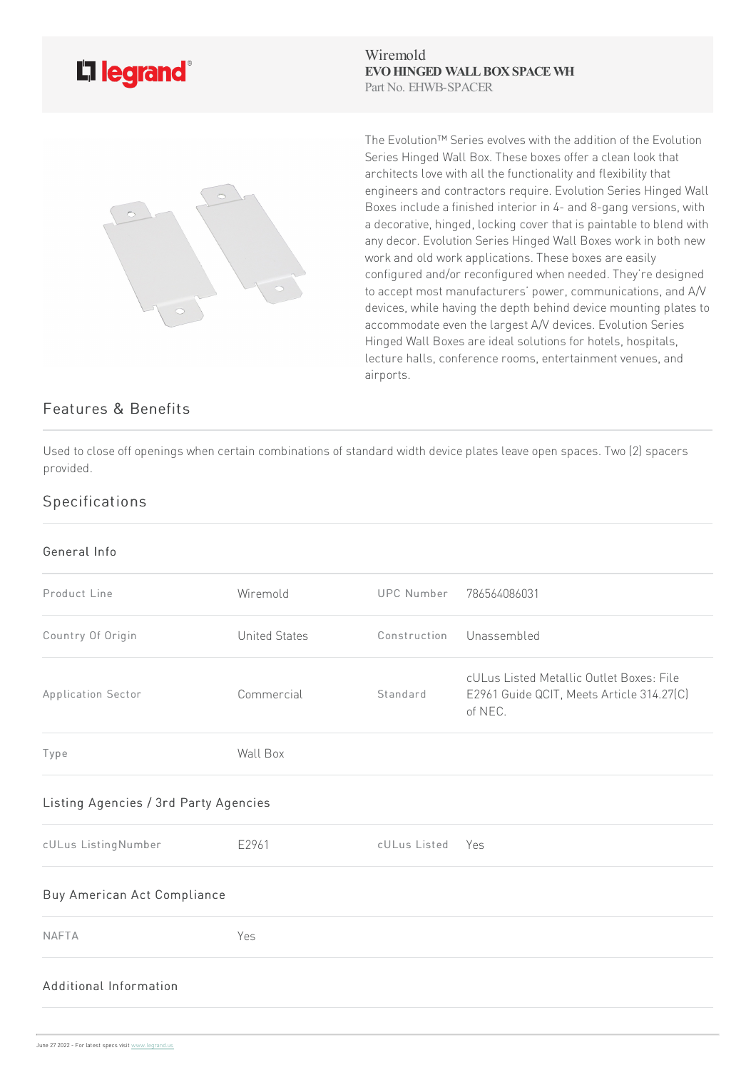

Wiremold **EVO HINGED WALL BOX SPACE WH** Part No. EHWB-SPACER



The Evolution™ Series evolves with the addition of the Evolution Series Hinged Wall Box. These boxes offer a clean look that architects love with all the functionality and flexibility that engineers and contractors require. Evolution Series Hinged Wall Boxes include a finished interior in 4- and 8-gang versions, with a decorative, hinged, locking cover that is paintable to blend with any decor. Evolution Series Hinged Wall Boxes work in both new work and old work applications. These boxes are easily configured and/or reconfigured when needed. They're designed to accept most manufacturers' power, communications, and A/V devices, while having the depth behind device mounting plates to accommodate even the largest A/V devices. Evolution Series Hinged Wall Boxes are ideal solutions for hotels, hospitals, lecture halls, conference rooms, entertainment venues, and airports.

## Features & Benefits

Used to close off openings when certain combinations of standard width device plates leave open spaces. Two (2) spacers provided.

## Specifications

## General Info

| Product Line                          | Wiremold             | UPC Number       | 786564086031                                                                                     |
|---------------------------------------|----------------------|------------------|--------------------------------------------------------------------------------------------------|
| Country Of Origin                     | <b>United States</b> | Construction     | Unassembled                                                                                      |
| Application Sector                    | Commercial           | Standard         | cULus Listed Metallic Outlet Boxes: File<br>E2961 Guide QCIT, Meets Article 314.27(C)<br>of NEC. |
| Type                                  | Wall Box             |                  |                                                                                                  |
| Listing Agencies / 3rd Party Agencies |                      |                  |                                                                                                  |
| cULus ListingNumber                   | E2961                | cULus Listed Yes |                                                                                                  |
| Buy American Act Compliance           |                      |                  |                                                                                                  |
| <b>NAFTA</b>                          | Yes                  |                  |                                                                                                  |
| Additional Information                |                      |                  |                                                                                                  |